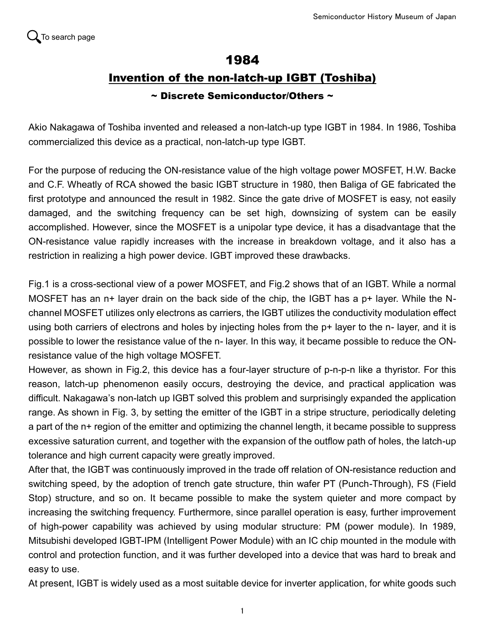## 1984

## Invention of the non-latch-up IGBT (Toshiba)

## ~ Discrete Semiconductor/Others ~

Akio Nakagawa of Toshiba invented and released a non-latch-up type IGBT in 1984. In 1986, Toshiba commercialized this device as a practical, non-latch-up type IGBT.

For the purpose of reducing the ON-resistance value of the high voltage power MOSFET, H.W. Backe and C.F. Wheatly of RCA showed the basic IGBT structure in 1980, then Baliga of GE fabricated the first prototype and announced the result in 1982. Since the gate drive of MOSFET is easy, not easily damaged, and the switching frequency can be set high, downsizing of system can be easily accomplished. However, since the MOSFET is a unipolar type device, it has a disadvantage that the ON-resistance value rapidly increases with the increase in breakdown voltage, and it also has a restriction in realizing a high power device. IGBT improved these drawbacks.

Fig.1 is a cross-sectional view of a power MOSFET, and Fig.2 shows that of an IGBT. While a normal MOSFET has an n+ layer drain on the back side of the chip, the IGBT has a p+ layer. While the Nchannel MOSFET utilizes only electrons as carriers, the IGBT utilizes the conductivity modulation effect using both carriers of electrons and holes by injecting holes from the p+ layer to the n- layer, and it is possible to lower the resistance value of the n- layer. In this way, it became possible to reduce the ONresistance value of the high voltage MOSFET.

However, as shown in Fig.2, this device has a four-layer structure of p-n-p-n like a thyristor. For this reason, latch-up phenomenon easily occurs, destroying the device, and practical application was difficult. Nakagawa's non-latch up IGBT solved this problem and surprisingly expanded the application range. As shown in Fig. 3, by setting the emitter of the IGBT in a stripe structure, periodically deleting a part of the n+ region of the emitter and optimizing the channel length, it became possible to suppress excessive saturation current, and together with the expansion of the outflow path of holes, the latch-up tolerance and high current capacity were greatly improved.

After that, the IGBT was continuously improved in the trade off relation of ON-resistance reduction and switching speed, by the adoption of trench gate structure, thin wafer PT (Punch-Through), FS (Field Stop) structure, and so on. It became possible to make the system quieter and more compact by increasing the switching frequency. Furthermore, since parallel operation is easy, further improvement of high-power capability was achieved by using modular structure: PM (power module). In 1989, Mitsubishi developed IGBT-IPM (Intelligent Power Module) with an IC chip mounted in the module with control and protection function, and it was further developed into a device that was hard to break and easy to use.

At present, IGBT is widely used as a most suitable device for inverter application, for white goods such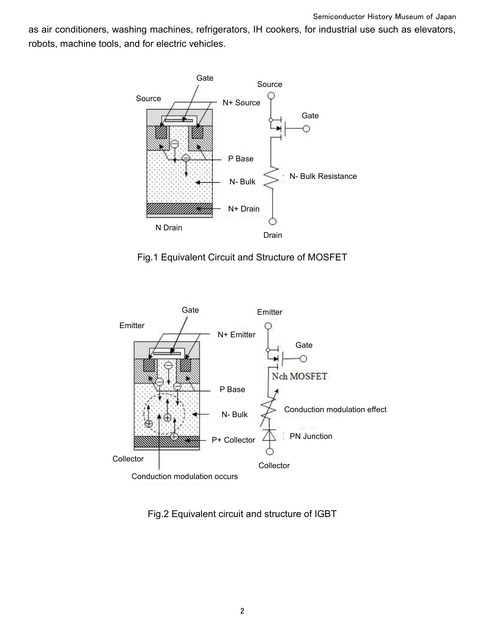as air conditioners, washing machines, refrigerators, IH cookers, for industrial use such as elevators, robots, machine tools, and for electric vehicles.



Fig.1 Equivalent Circuit and Structure of MOSFET



Fig.2 Equivalent circuit and structure of IGBT